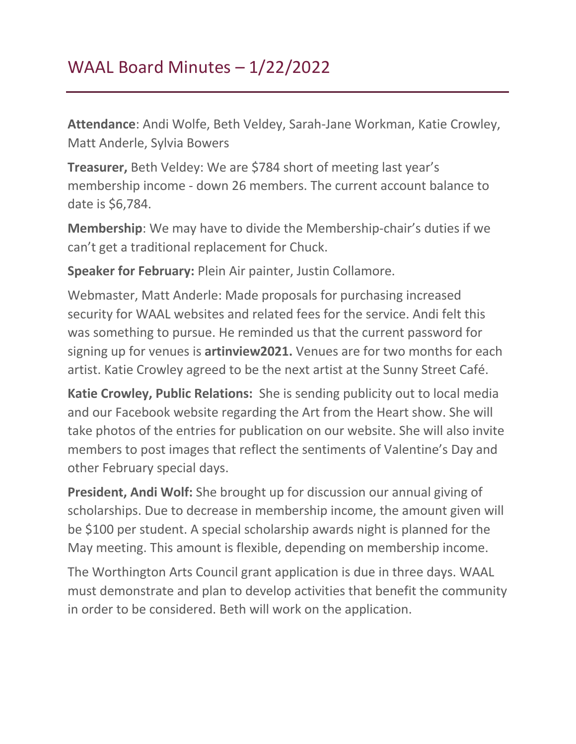## WAAL Board Minutes – 1/22/2022

**Attendance**: Andi Wolfe, Beth Veldey, Sarah-Jane Workman, Katie Crowley, Matt Anderle, Sylvia Bowers

**Treasurer,** Beth Veldey: We are \$784 short of meeting last year's membership income - down 26 members. The current account balance to date is \$6,784.

**Membership**: We may have to divide the Membership-chair's duties if we can't get a traditional replacement for Chuck.

**Speaker for February:** Plein Air painter, Justin Collamore.

Webmaster, Matt Anderle: Made proposals for purchasing increased security for WAAL websites and related fees for the service. Andi felt this was something to pursue. He reminded us that the current password for signing up for venues is **artinview2021.** Venues are for two months for each artist. Katie Crowley agreed to be the next artist at the Sunny Street Café.

**Katie Crowley, Public Relations:** She is sending publicity out to local media and our Facebook website regarding the Art from the Heart show. She will take photos of the entries for publication on our website. She will also invite members to post images that reflect the sentiments of Valentine's Day and other February special days.

**President, Andi Wolf:** She brought up for discussion our annual giving of scholarships. Due to decrease in membership income, the amount given will be \$100 per student. A special scholarship awards night is planned for the May meeting. This amount is flexible, depending on membership income.

The Worthington Arts Council grant application is due in three days. WAAL must demonstrate and plan to develop activities that benefit the community in order to be considered. Beth will work on the application.